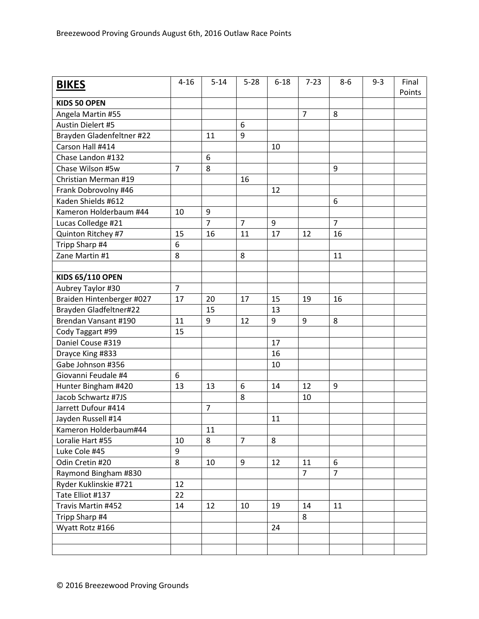| <b>BIKES</b>              | $4 - 16$       | $5 - 14$       | $5 - 28$       | $6 - 18$ | $7 - 23$       | $8-6$          | $9 - 3$ | Final<br>Points |
|---------------------------|----------------|----------------|----------------|----------|----------------|----------------|---------|-----------------|
| <b>KIDS 50 OPEN</b>       |                |                |                |          |                |                |         |                 |
| Angela Martin #55         |                |                |                |          | $\overline{7}$ | 8              |         |                 |
| <b>Austin Dielert #5</b>  |                |                | 6              |          |                |                |         |                 |
| Brayden Gladenfeltner #22 |                | 11             | 9              |          |                |                |         |                 |
| Carson Hall #414          |                |                |                | 10       |                |                |         |                 |
| Chase Landon #132         |                | 6              |                |          |                |                |         |                 |
| Chase Wilson #5w          | $\overline{7}$ | 8              |                |          |                | 9              |         |                 |
| Christian Merman #19      |                |                | 16             |          |                |                |         |                 |
| Frank Dobrovolny #46      |                |                |                | 12       |                |                |         |                 |
| Kaden Shields #612        |                |                |                |          |                | 6              |         |                 |
| Kameron Holderbaum #44    | 10             | 9              |                |          |                |                |         |                 |
| Lucas Colledge #21        |                | $\overline{7}$ | $\overline{7}$ | 9        |                | $\overline{7}$ |         |                 |
| Quinton Ritchey #7        | 15             | 16             | 11             | 17       | 12             | 16             |         |                 |
| Tripp Sharp #4            | 6              |                |                |          |                |                |         |                 |
| Zane Martin #1            | 8              |                | 8              |          |                | 11             |         |                 |
|                           |                |                |                |          |                |                |         |                 |
| <b>KIDS 65/110 OPEN</b>   |                |                |                |          |                |                |         |                 |
| Aubrey Taylor #30         | $\overline{7}$ |                |                |          |                |                |         |                 |
| Braiden Hintenberger #027 | 17             | 20             | 17             | 15       | 19             | 16             |         |                 |
| Brayden Gladfeltner#22    |                | 15             |                | 13       |                |                |         |                 |
| Brendan Vansant #190      | 11             | 9              | 12             | 9        | 9              | 8              |         |                 |
| Cody Taggart #99          | 15             |                |                |          |                |                |         |                 |
| Daniel Couse #319         |                |                |                | 17       |                |                |         |                 |
| Drayce King #833          |                |                |                | 16       |                |                |         |                 |
| Gabe Johnson #356         |                |                |                | 10       |                |                |         |                 |
| Giovanni Feudale #4       | 6              |                |                |          |                |                |         |                 |
| Hunter Bingham #420       | 13             | 13             | 6              | 14       | 12             | 9              |         |                 |
| Jacob Schwartz #7JS       |                |                | 8              |          | 10             |                |         |                 |
| Jarrett Dufour #414       |                | $\overline{7}$ |                |          |                |                |         |                 |
| Jayden Russell #14        |                |                |                | 11       |                |                |         |                 |
| Kameron Holderbaum#44     |                | 11             |                |          |                |                |         |                 |
| Loralie Hart #55          | 10             | 8              | $\overline{7}$ | 8        |                |                |         |                 |
| Luke Cole #45             | 9              |                |                |          |                |                |         |                 |
| Odin Cretin #20           | 8              | 10             | 9              | 12       | 11             | 6              |         |                 |
| Raymond Bingham #830      |                |                |                |          | $\overline{7}$ | $\overline{7}$ |         |                 |
| Ryder Kuklinskie #721     | 12             |                |                |          |                |                |         |                 |
| Tate Elliot #137          | 22             |                |                |          |                |                |         |                 |
| Travis Martin #452        | 14             | 12             | 10             | 19       | 14             | 11             |         |                 |
| Tripp Sharp #4            |                |                |                |          | 8              |                |         |                 |
| Wyatt Rotz #166           |                |                |                | 24       |                |                |         |                 |
|                           |                |                |                |          |                |                |         |                 |
|                           |                |                |                |          |                |                |         |                 |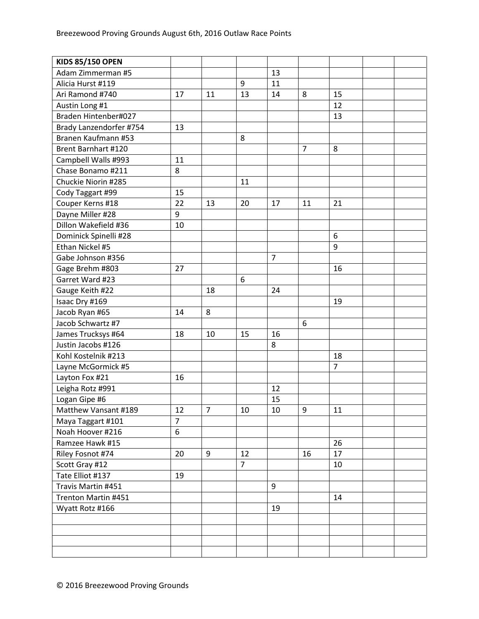| <b>KIDS 85/150 OPEN</b> |                |                |                |                |                |                |  |
|-------------------------|----------------|----------------|----------------|----------------|----------------|----------------|--|
| Adam Zimmerman #5       |                |                |                | 13             |                |                |  |
| Alicia Hurst #119       |                |                | 9              | 11             |                |                |  |
| Ari Ramond #740         | 17             | 11             | 13             | 14             | 8              | 15             |  |
| Austin Long #1          |                |                |                |                |                | 12             |  |
| Braden Hintenber#027    |                |                |                |                |                | 13             |  |
| Brady Lanzendorfer #754 | 13             |                |                |                |                |                |  |
| Branen Kaufmann #53     |                |                | 8              |                |                |                |  |
| Brent Barnhart #120     |                |                |                |                | $\overline{7}$ | 8              |  |
| Campbell Walls #993     | 11             |                |                |                |                |                |  |
| Chase Bonamo #211       | 8              |                |                |                |                |                |  |
| Chuckie Niorin #285     |                |                | 11             |                |                |                |  |
| Cody Taggart #99        | 15             |                |                |                |                |                |  |
| Couper Kerns #18        | 22             | 13             | 20             | 17             | 11             | 21             |  |
| Dayne Miller #28        | 9              |                |                |                |                |                |  |
| Dillon Wakefield #36    | 10             |                |                |                |                |                |  |
| Dominick Spinelli #28   |                |                |                |                |                | 6              |  |
| Ethan Nickel #5         |                |                |                |                |                | 9              |  |
| Gabe Johnson #356       |                |                |                | $\overline{7}$ |                |                |  |
| Gage Brehm #803         | 27             |                |                |                |                | 16             |  |
| Garret Ward #23         |                |                | 6              |                |                |                |  |
| Gauge Keith #22         |                | 18             |                | 24             |                |                |  |
| Isaac Dry #169          |                |                |                |                |                | 19             |  |
| Jacob Ryan #65          | 14             | 8              |                |                |                |                |  |
| Jacob Schwartz #7       |                |                |                |                | 6              |                |  |
| James Trucksys #64      | 18             | 10             | 15             | 16             |                |                |  |
| Justin Jacobs #126      |                |                |                | 8              |                |                |  |
| Kohl Kostelnik #213     |                |                |                |                |                | 18             |  |
| Layne McGormick #5      |                |                |                |                |                | $\overline{7}$ |  |
| Layton Fox #21          | 16             |                |                |                |                |                |  |
| Leigha Rotz #991        |                |                |                | 12             |                |                |  |
| Logan Gipe #6           |                |                |                | 15             |                |                |  |
| Matthew Vansant #189    | 12             | $\overline{7}$ | 10             | 10             | 9              | 11             |  |
| Maya Taggart #101       | $\overline{7}$ |                |                |                |                |                |  |
| Noah Hoover #216        | 6              |                |                |                |                |                |  |
| Ramzee Hawk #15         |                |                |                |                |                | 26             |  |
| Riley Fosnot #74        | 20             | 9              | 12             |                | 16             | 17             |  |
| Scott Gray #12          |                |                | $\overline{7}$ |                |                | 10             |  |
| Tate Elliot #137        | 19             |                |                |                |                |                |  |
| Travis Martin #451      |                |                |                | 9              |                |                |  |
| Trenton Martin #451     |                |                |                |                |                | 14             |  |
| Wyatt Rotz #166         |                |                |                | 19             |                |                |  |
|                         |                |                |                |                |                |                |  |
|                         |                |                |                |                |                |                |  |
|                         |                |                |                |                |                |                |  |
|                         |                |                |                |                |                |                |  |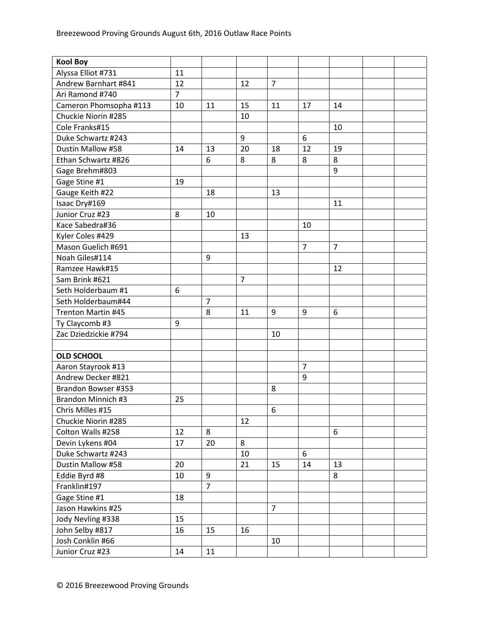| <b>Kool Boy</b>           |                |                |                |                |                |                |  |
|---------------------------|----------------|----------------|----------------|----------------|----------------|----------------|--|
| Alyssa Elliot #731        | 11             |                |                |                |                |                |  |
| Andrew Barnhart #841      | 12             |                | 12             | $\overline{7}$ |                |                |  |
| Ari Ramond #740           | $\overline{7}$ |                |                |                |                |                |  |
| Cameron Phomsopha #113    | 10             | 11             | 15             | 11             | 17             | 14             |  |
| Chuckie Niorin #285       |                |                | 10             |                |                |                |  |
| Cole Franks#15            |                |                |                |                |                | 10             |  |
| Duke Schwartz #243        |                |                | 9              |                | 6              |                |  |
| Dustin Mallow #58         | 14             | 13             | 20             | 18             | 12             | 19             |  |
| Ethan Schwartz #826       |                | 6              | 8              | 8              | 8              | 8              |  |
| Gage Brehm#803            |                |                |                |                |                | 9              |  |
| Gage Stine #1             | 19             |                |                |                |                |                |  |
| Gauge Keith #22           |                | 18             |                | 13             |                |                |  |
| Isaac Dry#169             |                |                |                |                |                | 11             |  |
| Junior Cruz #23           | 8              | 10             |                |                |                |                |  |
| Kace Sabedra#36           |                |                |                |                | 10             |                |  |
| Kyler Coles #429          |                |                | 13             |                |                |                |  |
| Mason Guelich #691        |                |                |                |                | $\overline{7}$ | $\overline{7}$ |  |
| Noah Giles#114            |                | 9              |                |                |                |                |  |
| Ramzee Hawk#15            |                |                |                |                |                | 12             |  |
| Sam Brink #621            |                |                | $\overline{7}$ |                |                |                |  |
| Seth Holderbaum #1        | 6              |                |                |                |                |                |  |
| Seth Holderbaum#44        |                | $\overline{7}$ |                |                |                |                |  |
| <b>Trenton Martin #45</b> |                | 8              | 11             | 9              | 9              | 6              |  |
| Ty Claycomb #3            | 9              |                |                |                |                |                |  |
| Zac Dziedzickie #794      |                |                |                | 10             |                |                |  |
|                           |                |                |                |                |                |                |  |
| <b>OLD SCHOOL</b>         |                |                |                |                |                |                |  |
| Aaron Stayrook #13        |                |                |                |                | $\overline{7}$ |                |  |
| Andrew Decker #821        |                |                |                |                | 9              |                |  |
| Brandon Bowser #353       |                |                |                | 8              |                |                |  |
| Brandon Minnich #3        | 25             |                |                |                |                |                |  |
| Chris Milles #15          |                |                |                | 6              |                |                |  |
| Chuckie Niorin #285       |                |                | 12             |                |                |                |  |
| Colton Walls #258         | 12             | 8              |                |                |                | 6              |  |
| Devin Lykens #04          | 17             | 20             | 8              |                |                |                |  |
| Duke Schwartz #243        |                |                | 10             |                | 6              |                |  |
| Dustin Mallow #58         | 20             |                | 21             | 15             | 14             | 13             |  |
| Eddie Byrd #8             | 10             | 9              |                |                |                | 8              |  |
| Franklin#197              |                | $\overline{7}$ |                |                |                |                |  |
| Gage Stine #1             | 18             |                |                |                |                |                |  |
| Jason Hawkins #25         |                |                |                | $\overline{7}$ |                |                |  |
| Jody Nevling #338         | 15             |                |                |                |                |                |  |
| John Selby #817           | 16             | 15             | 16             |                |                |                |  |
| Josh Conklin #66          |                |                |                | 10             |                |                |  |
| Junior Cruz #23           | 14             | 11             |                |                |                |                |  |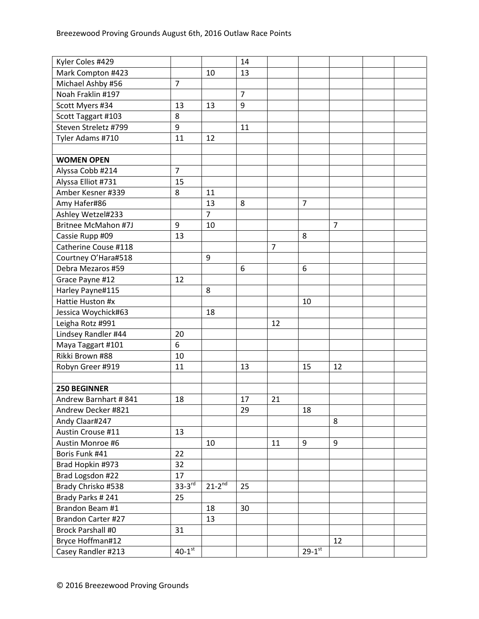| Kyler Coles #429           |                |                          | 14             |                |                        |                |  |
|----------------------------|----------------|--------------------------|----------------|----------------|------------------------|----------------|--|
| Mark Compton #423          |                | 10                       | 13             |                |                        |                |  |
| Michael Ashby #56          | $\overline{7}$ |                          |                |                |                        |                |  |
| Noah Fraklin #197          |                |                          | $\overline{7}$ |                |                        |                |  |
| Scott Myers #34            | 13             | 13                       | 9              |                |                        |                |  |
| Scott Taggart #103         | 8              |                          |                |                |                        |                |  |
| Steven Streletz #799       | 9              |                          | 11             |                |                        |                |  |
| Tyler Adams #710           | 11             | 12                       |                |                |                        |                |  |
|                            |                |                          |                |                |                        |                |  |
| <b>WOMEN OPEN</b>          |                |                          |                |                |                        |                |  |
| Alyssa Cobb #214           | $\overline{7}$ |                          |                |                |                        |                |  |
| Alyssa Elliot #731         | 15             |                          |                |                |                        |                |  |
| Amber Kesner #339          | 8              | 11                       |                |                |                        |                |  |
| Amy Hafer#86               |                | 13                       | 8              |                | $\overline{7}$         |                |  |
| Ashley Wetzel#233          |                | $\overline{7}$           |                |                |                        |                |  |
| <b>Britnee McMahon #7J</b> | 9              | 10                       |                |                |                        | $\overline{7}$ |  |
| Cassie Rupp #09            | 13             |                          |                |                | 8                      |                |  |
| Catherine Couse #118       |                |                          |                | $\overline{7}$ |                        |                |  |
| Courtney O'Hara#518        |                | 9                        |                |                |                        |                |  |
| Debra Mezaros #59          |                |                          | 6              |                | 6                      |                |  |
| Grace Payne #12            | 12             |                          |                |                |                        |                |  |
| Harley Payne#115           |                | 8                        |                |                |                        |                |  |
| Hattie Huston #x           |                |                          |                |                | 10                     |                |  |
| Jessica Woychick#63        |                | 18                       |                |                |                        |                |  |
| Leigha Rotz #991           |                |                          |                | 12             |                        |                |  |
| Lindsey Randler #44        | 20             |                          |                |                |                        |                |  |
| Maya Taggart #101          | 6              |                          |                |                |                        |                |  |
| Rikki Brown #88            | 10             |                          |                |                |                        |                |  |
| Robyn Greer #919           | 11             |                          | 13             |                | 15                     | 12             |  |
|                            |                |                          |                |                |                        |                |  |
| <b>250 BEGINNER</b>        |                |                          |                |                |                        |                |  |
| Andrew Barnhart #841       | 18             |                          | 17             | 21             |                        |                |  |
| Andrew Decker #821         |                |                          | 29             |                | 18                     |                |  |
| Andy Claar#247             |                |                          |                |                |                        | 8              |  |
| Austin Crouse #11          | 13             |                          |                |                |                        |                |  |
| Austin Monroe #6           |                | 10                       |                | 11             | 9                      | 9              |  |
| Boris Funk #41             | 22             |                          |                |                |                        |                |  |
| Brad Hopkin #973           | 32             |                          |                |                |                        |                |  |
| Brad Logsdon #22           | 17             |                          |                |                |                        |                |  |
| Brady Chrisko #538         | $33-3rd$       | $21 - 2^{\overline{nd}}$ | 25             |                |                        |                |  |
| Brady Parks #241           | 25             |                          |                |                |                        |                |  |
| Brandon Beam #1            |                | 18                       | 30             |                |                        |                |  |
| Brandon Carter #27         |                | 13                       |                |                |                        |                |  |
| <b>Brock Parshall #0</b>   | 31             |                          |                |                |                        |                |  |
| Bryce Hoffman#12           |                |                          |                |                |                        | 12             |  |
| Casey Randler #213         | $40-1$ st      |                          |                |                | $29 - 1$ <sup>st</sup> |                |  |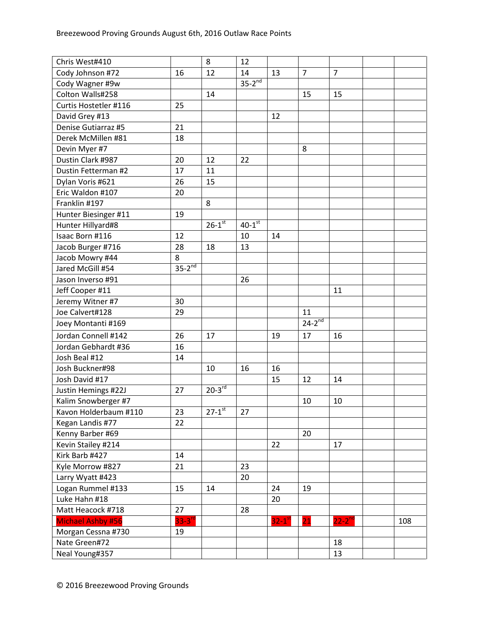| Chris West#410           |             | 8                      | 12                   |                        |                |                |     |
|--------------------------|-------------|------------------------|----------------------|------------------------|----------------|----------------|-----|
| Cody Johnson #72         | 16          | 12                     | 14                   | 13                     | $\overline{7}$ | $\overline{7}$ |     |
| Cody Wagner #9w          |             |                        | $35-2^{nd}$          |                        |                |                |     |
| Colton Walls#258         |             | 14                     |                      |                        | 15             | 15             |     |
| Curtis Hostetler #116    | 25          |                        |                      |                        |                |                |     |
| David Grey #13           |             |                        |                      | 12                     |                |                |     |
| Denise Gutiarraz #5      | 21          |                        |                      |                        |                |                |     |
| Derek McMillen #81       | 18          |                        |                      |                        |                |                |     |
| Devin Myer #7            |             |                        |                      |                        | 8              |                |     |
| Dustin Clark #987        | 20          | 12                     | 22                   |                        |                |                |     |
| Dustin Fetterman #2      | 17          | 11                     |                      |                        |                |                |     |
| Dylan Voris #621         | 26          | 15                     |                      |                        |                |                |     |
| Eric Waldon #107         | 20          |                        |                      |                        |                |                |     |
| Franklin #197            |             | 8                      |                      |                        |                |                |     |
| Hunter Biesinger #11     | 19          |                        |                      |                        |                |                |     |
| Hunter Hillyard#8        |             | $26 - 1$ <sup>st</sup> | $40-1$ <sup>st</sup> |                        |                |                |     |
| Isaac Born #116          | 12          |                        | 10                   | 14                     |                |                |     |
| Jacob Burger #716        | 28          | 18                     | 13                   |                        |                |                |     |
| Jacob Mowry #44          | 8           |                        |                      |                        |                |                |     |
| Jared McGill #54         | $35-2^{nd}$ |                        |                      |                        |                |                |     |
| Jason Inverso #91        |             |                        | 26                   |                        |                |                |     |
| Jeff Cooper #11          |             |                        |                      |                        |                | 11             |     |
| Jeremy Witner #7         | 30          |                        |                      |                        |                |                |     |
| Joe Calvert#128          | 29          |                        |                      |                        | 11             |                |     |
| Joey Montanti #169       |             |                        |                      |                        | $24-2^{nd}$    |                |     |
| Jordan Connell #142      | 26          | 17                     |                      | 19                     | 17             | 16             |     |
| Jordan Gebhardt #36      | 16          |                        |                      |                        |                |                |     |
| Josh Beal #12            | 14          |                        |                      |                        |                |                |     |
| Josh Buckner#98          |             | 10                     | 16                   | 16                     |                |                |     |
| Josh David #17           |             |                        |                      | 15                     | 12             | 14             |     |
| Justin Hemings #22J      | 27          | $20-3rd$               |                      |                        |                |                |     |
| Kalim Snowberger #7      |             |                        |                      |                        | 10             | 10             |     |
| Kavon Holderbaum #110    | 23          | $27 - 1$ <sup>st</sup> | 27                   |                        |                |                |     |
| Kegan Landis #77         | 22          |                        |                      |                        |                |                |     |
| Kenny Barber #69         |             |                        |                      |                        | 20             |                |     |
| Kevin Stailey #214       |             |                        |                      | 22                     |                | 17             |     |
| Kirk Barb #427           | 14          |                        |                      |                        |                |                |     |
| Kyle Morrow #827         | 21          |                        | 23                   |                        |                |                |     |
| Larry Wyatt #423         |             |                        | 20                   |                        |                |                |     |
| Logan Rummel #133        | 15          | 14                     |                      | 24                     | 19             |                |     |
| Luke Hahn #18            |             |                        |                      | 20                     |                |                |     |
| Matt Heacock #718        | 27          |                        | 28                   |                        |                |                |     |
| <b>Michael Ashby #56</b> | $33-3rd$    |                        |                      | $32 - 1$ <sup>st</sup> | 21             | $22 - 2^{nd}$  | 108 |
| Morgan Cessna #730       | 19          |                        |                      |                        |                |                |     |
| Nate Green#72            |             |                        |                      |                        |                | 18             |     |
| Neal Young#357           |             |                        |                      |                        |                | 13             |     |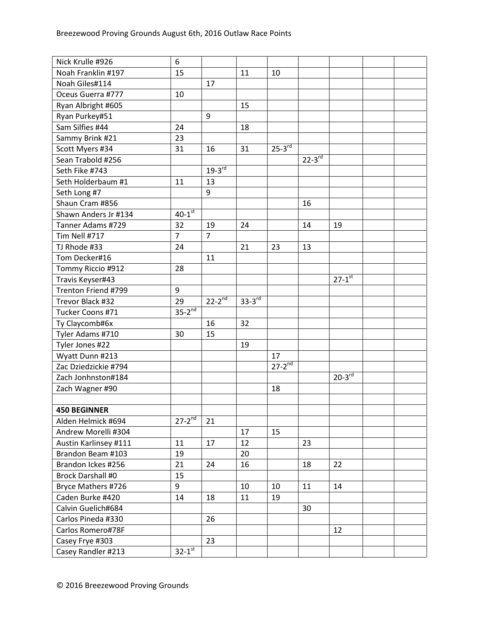| Nick Krulle #926         | 6                    |                |          |               |                          |                        |  |
|--------------------------|----------------------|----------------|----------|---------------|--------------------------|------------------------|--|
| Noah Franklin #197       | 15                   |                | 11       | 10            |                          |                        |  |
| Noah Giles#114           |                      | 17             |          |               |                          |                        |  |
| Oceus Guerra #777        | 10                   |                |          |               |                          |                        |  |
| Ryan Albright #605       |                      |                | 15       |               |                          |                        |  |
| Ryan Purkey#51           |                      | 9              |          |               |                          |                        |  |
| Sam Silfies #44          | 24                   |                | 18       |               |                          |                        |  |
| Sammy Brink #21          | 23                   |                |          |               |                          |                        |  |
| Scott Myers #34          | 31                   | 16             | 31       | $25-3^{rd}$   |                          |                        |  |
| Sean Trabold #256        |                      |                |          |               | $22 - 3^{\overline{rd}}$ |                        |  |
| Seth Fike #743           |                      | $19-3^{rd}$    |          |               |                          |                        |  |
| Seth Holderbaum #1       | 11                   | 13             |          |               |                          |                        |  |
| Seth Long #7             |                      | 9              |          |               |                          |                        |  |
| Shaun Cram #856          |                      |                |          |               | 16                       |                        |  |
| Shawn Anders Jr #134     | $40-1$ <sup>st</sup> |                |          |               |                          |                        |  |
| Tanner Adams #729        | 32                   | 19             | 24       |               | 14                       | 19                     |  |
| Tim Nell #717            | $\overline{7}$       | $\overline{7}$ |          |               |                          |                        |  |
| TJ Rhode #33             | 24                   |                | 21       | 23            | 13                       |                        |  |
| Tom Decker#16            |                      | 11             |          |               |                          |                        |  |
| Tommy Riccio #912        | 28                   |                |          |               |                          |                        |  |
| Travis Keyser#43         |                      |                |          |               |                          | $27 - 1$ <sup>st</sup> |  |
| Trenton Friend #799      | 9                    |                |          |               |                          |                        |  |
| Trevor Black #32         | 29                   | $22 - 2^{nd}$  | $33-3rd$ |               |                          |                        |  |
| Tucker Coons #71         | $35-2^{nd}$          |                |          |               |                          |                        |  |
| Ty Claycomb#6x           |                      | 16             | 32       |               |                          |                        |  |
| Tyler Adams #710         | 30                   | 15             |          |               |                          |                        |  |
| Tyler Jones #22          |                      |                | 19       |               |                          |                        |  |
| Wyatt Dunn #213          |                      |                |          | 17            |                          |                        |  |
| Zac Dziedzickie #794     |                      |                |          | $27 - 2^{nd}$ |                          |                        |  |
| Zach Jonhnston#184       |                      |                |          |               |                          | $20-3^{rd}$            |  |
| Zach Wagner #90          |                      |                |          | 18            |                          |                        |  |
|                          |                      |                |          |               |                          |                        |  |
| <b>450 BEGINNER</b>      |                      |                |          |               |                          |                        |  |
| Alden Helmick #694       | $27 - 2^{nd}$        | 21             |          |               |                          |                        |  |
| Andrew Morelli #304      |                      |                | 17       | 15            |                          |                        |  |
| Austin Karlinsey #111    | 11                   | 17             | 12       |               | 23                       |                        |  |
| Brandon Beam #103        | 19                   |                | 20       |               |                          |                        |  |
| Brandon Ickes #256       | 21                   | 24             | 16       |               | 18                       | 22                     |  |
| <b>Brock Darshall #0</b> | 15                   |                |          |               |                          |                        |  |
| Bryce Mathers #726       | 9                    |                | 10       | 10            | 11                       | 14                     |  |
| Caden Burke #420         | 14                   | 18             | 11       | 19            |                          |                        |  |
| Calvin Guelich#684       |                      |                |          |               | 30                       |                        |  |
| Carlos Pineda #330       |                      | 26             |          |               |                          |                        |  |
| Carlos Romero#78F        |                      |                |          |               |                          | 12                     |  |
| Casey Frye #303          |                      | 23             |          |               |                          |                        |  |
| Casey Randler #213       | $32-1$ <sup>st</sup> |                |          |               |                          |                        |  |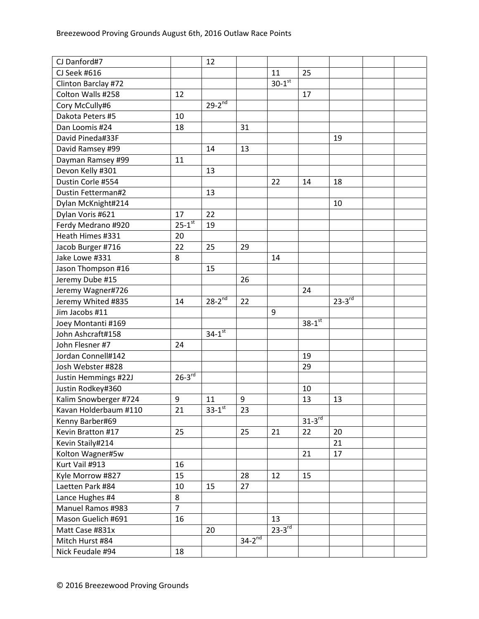| CJ Danford#7          |                | 12            |             |                      |             |               |  |
|-----------------------|----------------|---------------|-------------|----------------------|-------------|---------------|--|
| CJ Seek #616          |                |               |             | 11                   | 25          |               |  |
| Clinton Barclay #72   |                |               |             | $30-1$ <sup>st</sup> |             |               |  |
| Colton Walls #258     | 12             |               |             |                      | 17          |               |  |
| Cory McCully#6        |                | $29-2^{nd}$   |             |                      |             |               |  |
| Dakota Peters #5      | 10             |               |             |                      |             |               |  |
| Dan Loomis #24        | 18             |               | 31          |                      |             |               |  |
| David Pineda#33F      |                |               |             |                      |             | 19            |  |
| David Ramsey #99      |                | 14            | 13          |                      |             |               |  |
| Dayman Ramsey #99     | 11             |               |             |                      |             |               |  |
| Devon Kelly #301      |                | 13            |             |                      |             |               |  |
| Dustin Corle #554     |                |               |             | 22                   | 14          | 18            |  |
| Dustin Fetterman#2    |                | 13            |             |                      |             |               |  |
| Dylan McKnight#214    |                |               |             |                      |             | 10            |  |
| Dylan Voris #621      | 17             | 22            |             |                      |             |               |  |
| Ferdy Medrano #920    | $25 - 1^{st}$  | 19            |             |                      |             |               |  |
| Heath Himes #331      | 20             |               |             |                      |             |               |  |
| Jacob Burger #716     | 22             | 25            | 29          |                      |             |               |  |
| Jake Lowe #331        | 8              |               |             | 14                   |             |               |  |
| Jason Thompson #16    |                | 15            |             |                      |             |               |  |
| Jeremy Dube #15       |                |               | 26          |                      |             |               |  |
| Jeremy Wagner#726     |                |               |             |                      | 24          |               |  |
| Jeremy Whited #835    | 14             | $28-2^{nd}$   | 22          |                      |             | $23 - 3^{rd}$ |  |
| Jim Jacobs #11        |                |               |             | 9                    |             |               |  |
| Joey Montanti #169    |                |               |             |                      | $38-1$ st   |               |  |
| John Ashcraft#158     |                | $34 - 1^{st}$ |             |                      |             |               |  |
| John Flesner #7       | 24             |               |             |                      |             |               |  |
| Jordan Connell#142    |                |               |             |                      | 19          |               |  |
| Josh Webster #828     |                |               |             |                      | 29          |               |  |
| Justin Hemmings #22J  | $26-3^{rd}$    |               |             |                      |             |               |  |
| Justin Rodkey#360     |                |               |             |                      | 10          |               |  |
| Kalim Snowberger #724 | 9              | 11            | 9           |                      | 13          | 13            |  |
| Kavan Holderbaum #110 | 21             | $33-1$ st     | 23          |                      |             |               |  |
| Kenny Barber#69       |                |               |             |                      | $31-3^{rd}$ |               |  |
| Kevin Bratton #17     | 25             |               | 25          | 21                   | 22          | 20            |  |
| Kevin Staily#214      |                |               |             |                      |             | 21            |  |
| Kolton Wagner#5w      |                |               |             |                      | 21          | 17            |  |
| Kurt Vail #913        | 16             |               |             |                      |             |               |  |
| Kyle Morrow #827      | 15             |               | 28          | 12                   | 15          |               |  |
| Laetten Park #84      | 10             | 15            | 27          |                      |             |               |  |
| Lance Hughes #4       | 8              |               |             |                      |             |               |  |
| Manuel Ramos #983     | $\overline{7}$ |               |             |                      |             |               |  |
| Mason Guelich #691    | 16             |               |             | 13                   |             |               |  |
| Matt Case #831x       |                | 20            |             | $23-3^{rd}$          |             |               |  |
| Mitch Hurst #84       |                |               | $34-2^{nd}$ |                      |             |               |  |
| Nick Feudale #94      | 18             |               |             |                      |             |               |  |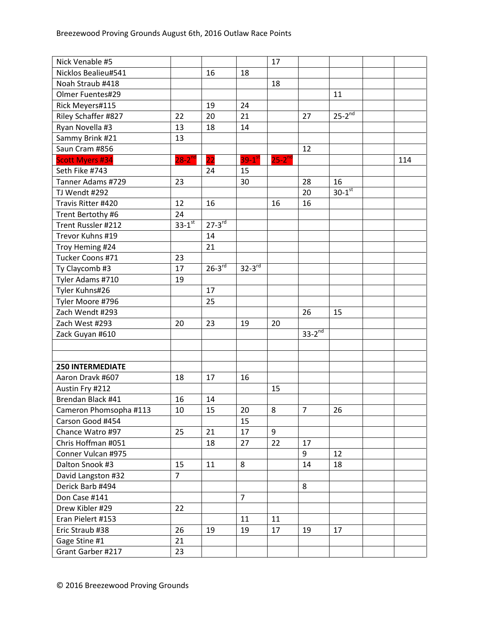| Nick Venable #5         |                |             |                | 17                   |                |                      |     |
|-------------------------|----------------|-------------|----------------|----------------------|----------------|----------------------|-----|
| Nicklos Bealieu#541     |                | 16          | 18             |                      |                |                      |     |
| Noah Straub #418        |                |             |                | 18                   |                |                      |     |
| Olmer Fuentes#29        |                |             |                |                      |                | 11                   |     |
| Rick Meyers#115         |                | 19          | 24             |                      |                |                      |     |
| Riley Schaffer #827     | 22             | 20          | 21             |                      | 27             | $25-2^{nd}$          |     |
| Ryan Novella #3         | 13             | 18          | 14             |                      |                |                      |     |
| Sammy Brink #21         | 13             |             |                |                      |                |                      |     |
| Saun Cram #856          |                |             |                |                      | 12             |                      |     |
| <b>Scott Myers #34</b>  | $28-2^{nd}$    | 22          | $39-1^{st}$    | $25-2$ <sup>nd</sup> |                |                      | 114 |
| Seth Fike #743          |                | 24          | 15             |                      |                |                      |     |
| Tanner Adams #729       | 23             |             | 30             |                      | 28             | 16                   |     |
| TJ Wendt #292           |                |             |                |                      | 20             | $30-1$ <sup>st</sup> |     |
| Travis Ritter #420      | 12             | 16          |                | 16                   | 16             |                      |     |
| Trent Bertothy #6       | 24             |             |                |                      |                |                      |     |
| Trent Russler #212      | $33 - 1^{st}$  | $27-3^{rd}$ |                |                      |                |                      |     |
| Trevor Kuhns #19        |                | 14          |                |                      |                |                      |     |
| Troy Heming #24         |                | 21          |                |                      |                |                      |     |
| Tucker Coons #71        | 23             |             |                |                      |                |                      |     |
| Ty Claycomb #3          | 17             | $26-3^{rd}$ | $32-3rd$       |                      |                |                      |     |
| Tyler Adams #710        | 19             |             |                |                      |                |                      |     |
| Tyler Kuhns#26          |                | 17          |                |                      |                |                      |     |
| Tyler Moore #796        |                | 25          |                |                      |                |                      |     |
| Zach Wendt #293         |                |             |                |                      | 26             | 15                   |     |
| Zach West #293          | 20             | 23          | 19             | 20                   |                |                      |     |
| Zack Guyan #610         |                |             |                |                      | $33-2^{nd}$    |                      |     |
|                         |                |             |                |                      |                |                      |     |
|                         |                |             |                |                      |                |                      |     |
| <b>250 INTERMEDIATE</b> |                |             |                |                      |                |                      |     |
| Aaron Dravk #607        | 18             | 17          | 16             |                      |                |                      |     |
| Austin Fry #212         |                |             |                | 15                   |                |                      |     |
| Brendan Black #41       | 16             | 14          |                |                      |                |                      |     |
| Cameron Phomsopha #113  | 10             | 15          | 20             | 8                    | $\overline{7}$ | 26                   |     |
| Carson Good #454        |                |             | 15             |                      |                |                      |     |
| Chance Watro #97        | 25             | 21          | 17             | 9                    |                |                      |     |
| Chris Hoffman #051      |                | 18          | 27             | 22                   | 17             |                      |     |
| Conner Vulcan #975      |                |             |                |                      | 9              | 12                   |     |
| Dalton Snook #3         | 15             | 11          | 8              |                      | 14             | 18                   |     |
| David Langston #32      | $\overline{7}$ |             |                |                      |                |                      |     |
| Derick Barb #494        |                |             |                |                      | 8              |                      |     |
| Don Case #141           |                |             | $\overline{7}$ |                      |                |                      |     |
| Drew Kibler #29         | 22             |             |                |                      |                |                      |     |
| Eran Pielert #153       |                |             | 11             | 11                   |                |                      |     |
| Eric Straub #38         | 26             | 19          | 19             | 17                   | 19             | 17                   |     |
| Gage Stine #1           | 21             |             |                |                      |                |                      |     |
| Grant Garber #217       | 23             |             |                |                      |                |                      |     |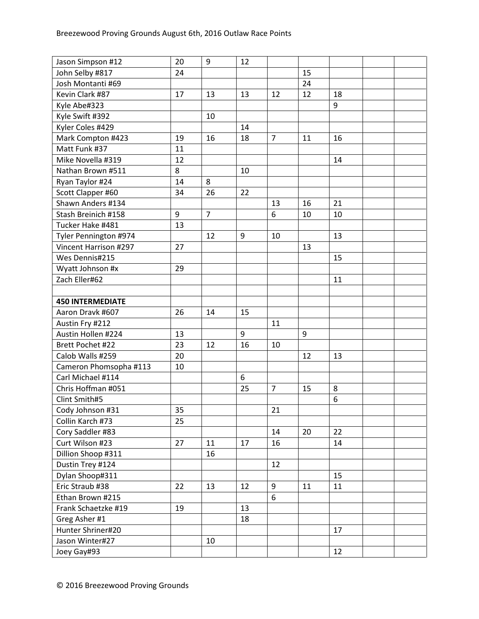| Jason Simpson #12       | 20 | 9              | 12 |                |    |    |  |
|-------------------------|----|----------------|----|----------------|----|----|--|
| John Selby #817         | 24 |                |    |                | 15 |    |  |
| Josh Montanti #69       |    |                |    |                | 24 |    |  |
| Kevin Clark #87         | 17 | 13             | 13 | 12             | 12 | 18 |  |
| Kyle Abe#323            |    |                |    |                |    | 9  |  |
| Kyle Swift #392         |    | 10             |    |                |    |    |  |
| Kyler Coles #429        |    |                | 14 |                |    |    |  |
| Mark Compton #423       | 19 | 16             | 18 | $\overline{7}$ | 11 | 16 |  |
| Matt Funk #37           | 11 |                |    |                |    |    |  |
| Mike Novella #319       | 12 |                |    |                |    | 14 |  |
| Nathan Brown #511       | 8  |                | 10 |                |    |    |  |
| Ryan Taylor #24         | 14 | 8              |    |                |    |    |  |
| Scott Clapper #60       | 34 | 26             | 22 |                |    |    |  |
| Shawn Anders #134       |    |                |    | 13             | 16 | 21 |  |
| Stash Breinich #158     | 9  | $\overline{7}$ |    | 6              | 10 | 10 |  |
| Tucker Hake #481        | 13 |                |    |                |    |    |  |
| Tyler Pennington #974   |    | 12             | 9  | 10             |    | 13 |  |
| Vincent Harrison #297   | 27 |                |    |                | 13 |    |  |
| Wes Dennis#215          |    |                |    |                |    | 15 |  |
| Wyatt Johnson #x        | 29 |                |    |                |    |    |  |
| Zach Eller#62           |    |                |    |                |    | 11 |  |
|                         |    |                |    |                |    |    |  |
| <b>450 INTERMEDIATE</b> |    |                |    |                |    |    |  |
| Aaron Dravk #607        | 26 | 14             | 15 |                |    |    |  |
| Austin Fry #212         |    |                |    | 11             |    |    |  |
| Austin Hollen #224      | 13 |                | 9  |                | 9  |    |  |
| Brett Pochet #22        | 23 | 12             | 16 | 10             |    |    |  |
| Calob Walls #259        | 20 |                |    |                | 12 | 13 |  |
| Cameron Phomsopha #113  | 10 |                |    |                |    |    |  |
| Carl Michael #114       |    |                | 6  |                |    |    |  |
| Chris Hoffman #051      |    |                | 25 | $\overline{7}$ | 15 | 8  |  |
| Clint Smith#5           |    |                |    |                |    | 6  |  |
| Cody Johnson #31        | 35 |                |    | 21             |    |    |  |
| Collin Karch #73        | 25 |                |    |                |    |    |  |
| Cory Saddler #83        |    |                |    | 14             | 20 | 22 |  |
| Curt Wilson #23         | 27 | 11             | 17 | 16             |    | 14 |  |
| Dillion Shoop #311      |    | 16             |    |                |    |    |  |
| Dustin Trey #124        |    |                |    | 12             |    |    |  |
| Dylan Shoop#311         |    |                |    |                |    | 15 |  |
| Eric Straub #38         | 22 | 13             | 12 | 9              | 11 | 11 |  |
| Ethan Brown #215        |    |                |    | 6              |    |    |  |
| Frank Schaetzke #19     | 19 |                | 13 |                |    |    |  |
| Greg Asher #1           |    |                | 18 |                |    |    |  |
| Hunter Shriner#20       |    |                |    |                |    | 17 |  |
| Jason Winter#27         |    | 10             |    |                |    |    |  |
| Joey Gay#93             |    |                |    |                |    | 12 |  |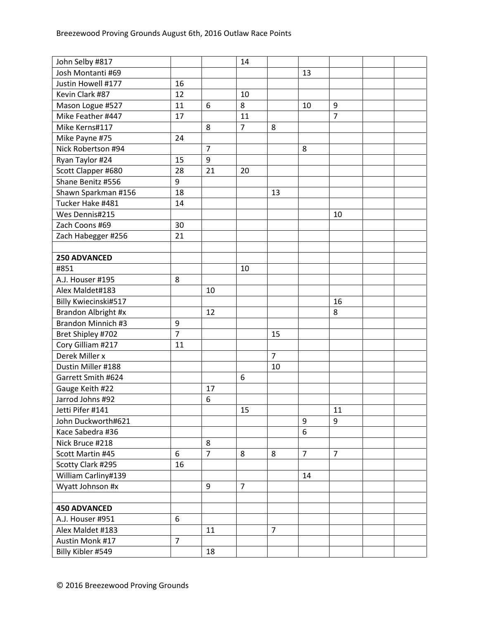| John Selby #817      |                |                | 14             |                |                |                |  |
|----------------------|----------------|----------------|----------------|----------------|----------------|----------------|--|
| Josh Montanti #69    |                |                |                |                | 13             |                |  |
| Justin Howell #177   | 16             |                |                |                |                |                |  |
| Kevin Clark #87      | 12             |                | 10             |                |                |                |  |
| Mason Logue #527     | 11             | 6              | 8              |                | 10             | 9              |  |
| Mike Feather #447    | 17             |                | 11             |                |                | $\overline{7}$ |  |
| Mike Kerns#117       |                | 8              | $\overline{7}$ | 8              |                |                |  |
| Mike Payne #75       | 24             |                |                |                |                |                |  |
| Nick Robertson #94   |                | $\overline{7}$ |                |                | 8              |                |  |
| Ryan Taylor #24      | 15             | 9              |                |                |                |                |  |
| Scott Clapper #680   | 28             | 21             | 20             |                |                |                |  |
| Shane Benitz #556    | 9              |                |                |                |                |                |  |
| Shawn Sparkman #156  | 18             |                |                | 13             |                |                |  |
| Tucker Hake #481     | 14             |                |                |                |                |                |  |
| Wes Dennis#215       |                |                |                |                |                | 10             |  |
| Zach Coons #69       | 30             |                |                |                |                |                |  |
| Zach Habegger #256   | 21             |                |                |                |                |                |  |
|                      |                |                |                |                |                |                |  |
| 250 ADVANCED         |                |                |                |                |                |                |  |
| #851                 |                |                | 10             |                |                |                |  |
| A.J. Houser #195     | 8              |                |                |                |                |                |  |
| Alex Maldet#183      |                | 10             |                |                |                |                |  |
| Billy Kwiecinski#517 |                |                |                |                |                | 16             |  |
| Brandon Albright #x  |                | 12             |                |                |                | 8              |  |
| Brandon Minnich #3   | 9              |                |                |                |                |                |  |
| Bret Shipley #702    | $\overline{7}$ |                |                | 15             |                |                |  |
| Cory Gilliam #217    | 11             |                |                |                |                |                |  |
| Derek Miller x       |                |                |                | $\overline{7}$ |                |                |  |
| Dustin Miller #188   |                |                |                | 10             |                |                |  |
| Garrett Smith #624   |                |                | 6              |                |                |                |  |
| Gauge Keith #22      |                | 17             |                |                |                |                |  |
| Jarrod Johns #92     |                | 6              |                |                |                |                |  |
| Jetti Pifer #141     |                |                | 15             |                |                | 11             |  |
| John Duckworth#621   |                |                |                |                | 9              | 9              |  |
| Kace Sabedra #36     |                |                |                |                | 6              |                |  |
| Nick Bruce #218      |                | 8              |                |                |                |                |  |
| Scott Martin #45     | 6              | $\overline{7}$ | 8              | 8              | $\overline{7}$ | $\overline{7}$ |  |
| Scotty Clark #295    | 16             |                |                |                |                |                |  |
| William Carliny#139  |                |                |                |                | 14             |                |  |
| Wyatt Johnson #x     |                | 9              | $\overline{7}$ |                |                |                |  |
|                      |                |                |                |                |                |                |  |
| <b>450 ADVANCED</b>  |                |                |                |                |                |                |  |
| A.J. Houser #951     | 6              |                |                |                |                |                |  |
| Alex Maldet #183     |                | 11             |                | 7              |                |                |  |
| Austin Monk #17      | $\overline{7}$ |                |                |                |                |                |  |
| Billy Kibler #549    |                | 18             |                |                |                |                |  |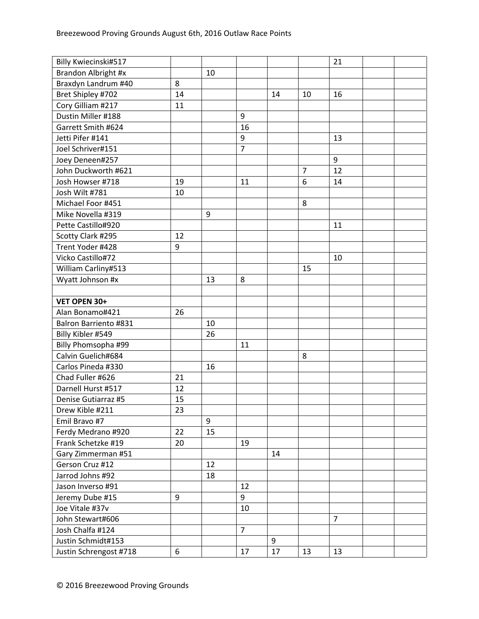| Billy Kwiecinski#517         |    |    |                |    |                | 21             |  |
|------------------------------|----|----|----------------|----|----------------|----------------|--|
| Brandon Albright #x          |    | 10 |                |    |                |                |  |
| Braxdyn Landrum #40          | 8  |    |                |    |                |                |  |
| Bret Shipley #702            | 14 |    |                | 14 | 10             | 16             |  |
| Cory Gilliam #217            | 11 |    |                |    |                |                |  |
| Dustin Miller #188           |    |    | 9              |    |                |                |  |
| Garrett Smith #624           |    |    | 16             |    |                |                |  |
| Jetti Pifer #141             |    |    | 9              |    |                | 13             |  |
| Joel Schriver#151            |    |    | $\overline{7}$ |    |                |                |  |
| Joey Deneen#257              |    |    |                |    |                | 9              |  |
| John Duckworth #621          |    |    |                |    | $\overline{7}$ | 12             |  |
| Josh Howser #718             | 19 |    | 11             |    | 6              | 14             |  |
| Josh Wilt #781               | 10 |    |                |    |                |                |  |
| Michael Foor #451            |    |    |                |    | 8              |                |  |
| Mike Novella #319            |    | 9  |                |    |                |                |  |
| Pette Castillo#920           |    |    |                |    |                | 11             |  |
| Scotty Clark #295            | 12 |    |                |    |                |                |  |
| Trent Yoder #428             | 9  |    |                |    |                |                |  |
| Vicko Castillo#72            |    |    |                |    |                | 10             |  |
| William Carliny#513          |    |    |                |    | 15             |                |  |
| Wyatt Johnson #x             |    | 13 | 8              |    |                |                |  |
|                              |    |    |                |    |                |                |  |
| VET OPEN 30+                 |    |    |                |    |                |                |  |
| Alan Bonamo#421              | 26 |    |                |    |                |                |  |
| <b>Balron Barriento #831</b> |    | 10 |                |    |                |                |  |
| Billy Kibler #549            |    | 26 |                |    |                |                |  |
| Billy Phomsopha #99          |    |    | 11             |    |                |                |  |
| Calvin Guelich#684           |    |    |                |    | 8              |                |  |
| Carlos Pineda #330           |    | 16 |                |    |                |                |  |
| Chad Fuller #626             | 21 |    |                |    |                |                |  |
| Darnell Hurst #517           | 12 |    |                |    |                |                |  |
| Denise Gutiarraz #5          | 15 |    |                |    |                |                |  |
| Drew Kible #211              | 23 |    |                |    |                |                |  |
| Emil Bravo #7                |    | 9  |                |    |                |                |  |
| Ferdy Medrano #920           | 22 | 15 |                |    |                |                |  |
| Frank Schetzke #19           | 20 |    | 19             |    |                |                |  |
| Gary Zimmerman #51           |    |    |                | 14 |                |                |  |
| Gerson Cruz #12              |    | 12 |                |    |                |                |  |
| Jarrod Johns #92             |    | 18 |                |    |                |                |  |
| Jason Inverso #91            |    |    | 12             |    |                |                |  |
| Jeremy Dube #15              | 9  |    | 9              |    |                |                |  |
| Joe Vitale #37v              |    |    | 10             |    |                |                |  |
| John Stewart#606             |    |    |                |    |                | $\overline{7}$ |  |
| Josh Chalfa #124             |    |    | $\overline{7}$ |    |                |                |  |
| Justin Schmidt#153           |    |    |                | 9  |                |                |  |
| Justin Schrengost #718       | 6  |    | 17             | 17 | 13             | 13             |  |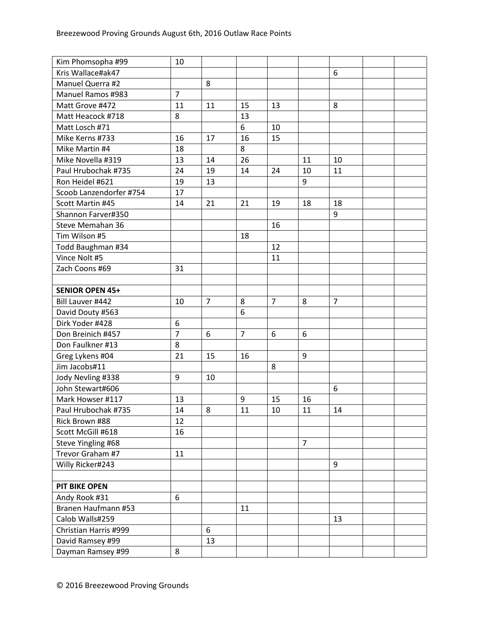| Kim Phomsopha #99        | 10             |                |                |                |                |                |  |
|--------------------------|----------------|----------------|----------------|----------------|----------------|----------------|--|
| Kris Wallace#ak47        |                |                |                |                |                | 6              |  |
| Manuel Querra #2         |                | 8              |                |                |                |                |  |
| <b>Manuel Ramos #983</b> | $\overline{7}$ |                |                |                |                |                |  |
| Matt Grove #472          | 11             | 11             | 15             | 13             |                | 8              |  |
| Matt Heacock #718        | 8              |                | 13             |                |                |                |  |
| Matt Losch #71           |                |                | 6              | 10             |                |                |  |
| Mike Kerns #733          | 16             | 17             | 16             | 15             |                |                |  |
| Mike Martin #4           | 18             |                | 8              |                |                |                |  |
| Mike Novella #319        | 13             | 14             | 26             |                | 11             | 10             |  |
| Paul Hrubochak #735      | 24             | 19             | 14             | 24             | 10             | 11             |  |
| Ron Heidel #621          | 19             | 13             |                |                | 9              |                |  |
| Scoob Lanzendorfer #754  | 17             |                |                |                |                |                |  |
| Scott Martin #45         | 14             | 21             | 21             | 19             | 18             | 18             |  |
| Shannon Farver#350       |                |                |                |                |                | 9              |  |
| Steve Memahan 36         |                |                |                | 16             |                |                |  |
| Tim Wilson #5            |                |                | 18             |                |                |                |  |
| Todd Baughman #34        |                |                |                | 12             |                |                |  |
| Vince Nolt #5            |                |                |                | 11             |                |                |  |
| Zach Coons #69           | 31             |                |                |                |                |                |  |
|                          |                |                |                |                |                |                |  |
| <b>SENIOR OPEN 45+</b>   |                |                |                |                |                |                |  |
| Bill Lauver #442         | 10             | $\overline{7}$ | 8              | $\overline{7}$ | 8              | $\overline{7}$ |  |
| David Douty #563         |                |                | 6              |                |                |                |  |
| Dirk Yoder #428          | 6              |                |                |                |                |                |  |
| Don Breinich #457        | $\overline{7}$ | 6              | $\overline{7}$ | 6              | 6              |                |  |
| Don Faulkner #13         | 8              |                |                |                |                |                |  |
| Greg Lykens #04          | 21             | 15             | 16             |                | 9              |                |  |
| Jim Jacobs#11            |                |                |                | 8              |                |                |  |
| Jody Nevling #338        | 9              | 10             |                |                |                |                |  |
| John Stewart#606         |                |                |                |                |                | 6              |  |
| Mark Howser #117         | 13             |                | 9              | 15             | 16             |                |  |
| Paul Hrubochak #735      | 14             | 8              | 11             | 10             | 11             | 14             |  |
| Rick Brown #88           | 12             |                |                |                |                |                |  |
| Scott McGill #618        | 16             |                |                |                |                |                |  |
| Steve Yingling #68       |                |                |                |                | $\overline{7}$ |                |  |
| Trevor Graham #7         | 11             |                |                |                |                |                |  |
| Willy Ricker#243         |                |                |                |                |                | 9              |  |
|                          |                |                |                |                |                |                |  |
| <b>PIT BIKE OPEN</b>     |                |                |                |                |                |                |  |
| Andy Rook #31            | 6              |                |                |                |                |                |  |
| Branen Haufmann #53      |                |                | 11             |                |                |                |  |
| Calob Walls#259          |                |                |                |                |                | 13             |  |
| Christian Harris #999    |                | 6              |                |                |                |                |  |
| David Ramsey #99         |                | 13             |                |                |                |                |  |
| Dayman Ramsey #99        | 8              |                |                |                |                |                |  |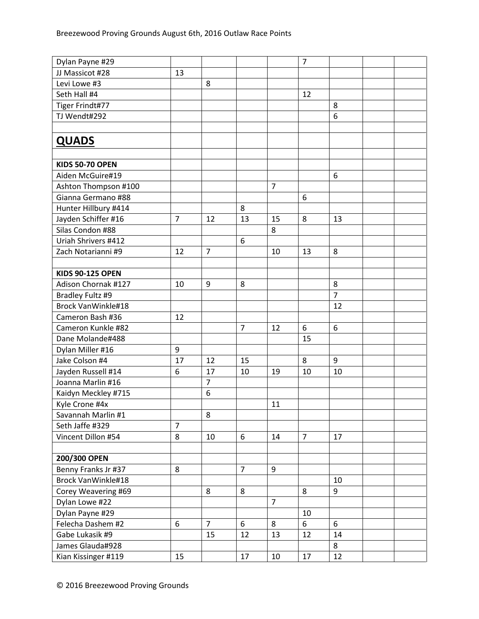| Dylan Payne #29           |                |                |                |                | $\overline{7}$   |                |  |
|---------------------------|----------------|----------------|----------------|----------------|------------------|----------------|--|
| JJ Massicot #28           | 13             |                |                |                |                  |                |  |
| Levi Lowe #3              |                | 8              |                |                |                  |                |  |
| Seth Hall #4              |                |                |                |                | 12               |                |  |
| Tiger Frindt#77           |                |                |                |                |                  | 8              |  |
| TJ Wendt#292              |                |                |                |                |                  | 6              |  |
|                           |                |                |                |                |                  |                |  |
| <b>QUADS</b>              |                |                |                |                |                  |                |  |
|                           |                |                |                |                |                  |                |  |
| <b>KIDS 50-70 OPEN</b>    |                |                |                |                |                  |                |  |
| Aiden McGuire#19          |                |                |                |                |                  | 6              |  |
| Ashton Thompson #100      |                |                |                | $\overline{7}$ |                  |                |  |
| Gianna Germano #88        |                |                |                |                | $\boldsymbol{6}$ |                |  |
| Hunter Hillbury #414      |                |                | 8              |                |                  |                |  |
| Jayden Schiffer #16       | $\overline{7}$ | 12             | 13             | 15             | 8                | 13             |  |
| Silas Condon #88          |                |                |                | 8              |                  |                |  |
| Uriah Shrivers #412       |                |                | 6              |                |                  |                |  |
| Zach Notarianni #9        | 12             | $\overline{7}$ |                | 10             | 13               | 8              |  |
|                           |                |                |                |                |                  |                |  |
| <b>KIDS 90-125 OPEN</b>   |                |                |                |                |                  |                |  |
| Adison Chornak #127       | 10             | 9              | 8              |                |                  | 8              |  |
| Bradley Fultz #9          |                |                |                |                |                  | $\overline{7}$ |  |
| <b>Brock VanWinkle#18</b> |                |                |                |                |                  | 12             |  |
| Cameron Bash #36          | 12             |                |                |                |                  |                |  |
| Cameron Kunkle #82        |                |                | $\overline{7}$ | 12             | 6                | 6              |  |
| Dane Molande#488          |                |                |                |                | 15               |                |  |
| Dylan Miller #16          | $9\,$          |                |                |                |                  |                |  |
| Jake Colson #4            | 17             | 12             | 15             |                | 8                | 9              |  |
| Jayden Russell #14        | 6              | 17             | 10             | 19             | 10               | 10             |  |
| Joanna Marlin #16         |                | $\overline{7}$ |                |                |                  |                |  |
| Kaidyn Meckley #715       |                | 6              |                |                |                  |                |  |
| Kyle Crone #4x            |                |                |                | 11             |                  |                |  |
| Savannah Marlin #1        |                | 8              |                |                |                  |                |  |
| Seth Jaffe #329           | $\overline{7}$ |                |                |                |                  |                |  |
| Vincent Dillon #54        | 8              | 10             | 6              | 14             | $\overline{7}$   | 17             |  |
|                           |                |                |                |                |                  |                |  |
| 200/300 OPEN              |                |                |                |                |                  |                |  |
| Benny Franks Jr #37       | 8              |                | $\overline{7}$ | 9              |                  |                |  |
| Brock VanWinkle#18        |                |                |                |                |                  | 10             |  |
| Corey Weavering #69       |                | 8              | 8              |                | 8                | 9              |  |
| Dylan Lowe #22            |                |                |                | $\overline{7}$ |                  |                |  |
| Dylan Payne #29           |                |                |                |                | 10               |                |  |
| Felecha Dashem #2         | 6              | $\overline{7}$ | 6              | 8              | 6                | 6              |  |
| Gabe Lukasik #9           |                | 15             | 12             | 13             | 12               | 14             |  |
| James Glauda#928          |                |                |                |                |                  | 8              |  |
| Kian Kissinger #119       | 15             |                | 17             | 10             | 17               | 12             |  |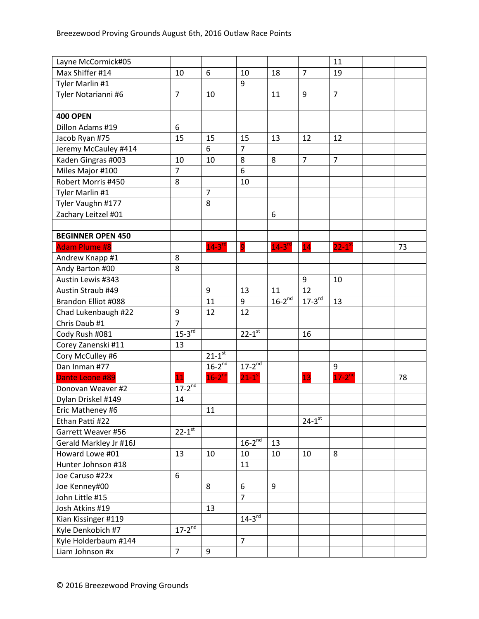| Layne McCormick#05       |                      |                        |                        |                        |                      | 11                   |    |
|--------------------------|----------------------|------------------------|------------------------|------------------------|----------------------|----------------------|----|
| Max Shiffer #14          | 10                   | 6                      | 10                     | 18                     | $\overline{7}$       | 19                   |    |
| Tyler Marlin #1          |                      |                        | 9                      |                        |                      |                      |    |
| Tyler Notarianni #6      | $\overline{7}$       | 10                     |                        | 11                     | $9\,$                | $\overline{7}$       |    |
|                          |                      |                        |                        |                        |                      |                      |    |
| <b>400 OPEN</b>          |                      |                        |                        |                        |                      |                      |    |
| Dillon Adams #19         | 6                    |                        |                        |                        |                      |                      |    |
| Jacob Ryan #75           | 15                   | 15                     | 15                     | 13                     | 12                   | 12                   |    |
| Jeremy McCauley #414     |                      | 6                      | $\overline{7}$         |                        |                      |                      |    |
| Kaden Gingras #003       | 10                   | 10                     | 8                      | 8                      | $\overline{7}$       | $\overline{7}$       |    |
| Miles Major #100         | $\overline{7}$       |                        | 6                      |                        |                      |                      |    |
| Robert Morris #450       | 8                    |                        | 10                     |                        |                      |                      |    |
| Tyler Marlin #1          |                      | $\overline{7}$         |                        |                        |                      |                      |    |
| Tyler Vaughn #177        |                      | 8                      |                        |                        |                      |                      |    |
| Zachary Leitzel #01      |                      |                        |                        | 6                      |                      |                      |    |
|                          |                      |                        |                        |                        |                      |                      |    |
| <b>BEGINNER OPEN 450</b> |                      |                        |                        |                        |                      |                      |    |
| <b>Adam Plume #8</b>     |                      | $14-3$ <sup>rd</sup>   | 9                      | $14-3$ <sup>rd</sup>   | 14                   | $22-1$ <sup>st</sup> | 73 |
| Andrew Knapp #1          | 8                    |                        |                        |                        |                      |                      |    |
| Andy Barton #00          | 8                    |                        |                        |                        |                      |                      |    |
| Austin Lewis #343        |                      |                        |                        |                        | $\boldsymbol{9}$     | 10                   |    |
| Austin Straub #49        |                      | 9                      | 13                     | 11                     | 12                   |                      |    |
| Brandon Elliot #088      |                      | 11                     | 9                      | $16 - 2$ <sup>nd</sup> | $17 - 3$ rd          | 13                   |    |
| Chad Lukenbaugh #22      | 9                    | 12                     | 12                     |                        |                      |                      |    |
| Chris Daub #1            | $\overline{7}$       |                        |                        |                        |                      |                      |    |
| Cody Rush #081           | $15-3^{rd}$          |                        | $22 - 1$ <sup>st</sup> |                        | 16                   |                      |    |
| Corey Zanenski #11       | 13                   |                        |                        |                        |                      |                      |    |
| Cory McCulley #6         |                      | $21 - 1$ <sup>st</sup> |                        |                        |                      |                      |    |
| Dan Inman #77            |                      | $16-2^{nd}$            | $17-2^{nd}$            |                        |                      | 9                    |    |
| Dante Leone #89          | $\overline{11}$      | $16-2^{nd}$            | $21 - 1$ <sup>st</sup> |                        | 13                   | $17-2^{nd}$          | 78 |
| Donovan Weaver #2        | $17-2^{nd}$          |                        |                        |                        |                      |                      |    |
| Dylan Driskel #149       | 14                   |                        |                        |                        |                      |                      |    |
| Eric Matheney #6         |                      | 11                     |                        |                        |                      |                      |    |
| Ethan Patti #22          |                      |                        |                        |                        | $24-1$ <sup>st</sup> |                      |    |
| Garrett Weaver #56       | $22-1$ <sup>st</sup> |                        |                        |                        |                      |                      |    |
| Gerald Markley Jr #16J   |                      |                        | $16-2^{nd}$            | 13                     |                      |                      |    |
| Howard Lowe #01          | 13                   | 10                     | 10                     | 10                     | 10                   | 8                    |    |
| Hunter Johnson #18       |                      |                        | 11                     |                        |                      |                      |    |
| Joe Caruso #22x          | 6                    |                        |                        |                        |                      |                      |    |
| Joe Kenney#00            |                      | 8                      | 6                      | 9                      |                      |                      |    |
| John Little #15          |                      |                        | $\overline{7}$         |                        |                      |                      |    |
| Josh Atkins #19          |                      | 13                     |                        |                        |                      |                      |    |
| Kian Kissinger #119      |                      |                        | $14-3$ <sup>rd</sup>   |                        |                      |                      |    |
| Kyle Denkobich #7        | $17 - 2^{nd}$        |                        |                        |                        |                      |                      |    |
| Kyle Holderbaum #144     |                      |                        | $\overline{7}$         |                        |                      |                      |    |
| Liam Johnson #x          | $\overline{7}$       | 9                      |                        |                        |                      |                      |    |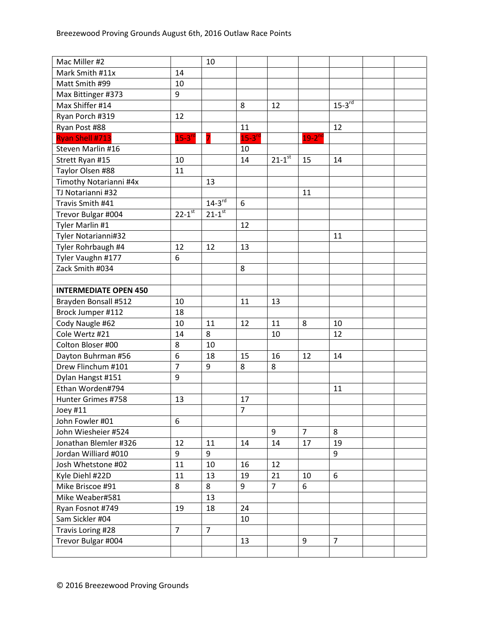| Mac Miller #2                |                      | 10                   |                      |                      |                      |                      |  |
|------------------------------|----------------------|----------------------|----------------------|----------------------|----------------------|----------------------|--|
| Mark Smith #11x              | 14                   |                      |                      |                      |                      |                      |  |
| Matt Smith #99               | 10                   |                      |                      |                      |                      |                      |  |
| Max Bittinger #373           | 9                    |                      |                      |                      |                      |                      |  |
| Max Shiffer #14              |                      |                      | 8                    | 12                   |                      | $15-3$ <sup>rd</sup> |  |
| Ryan Porch #319              | 12                   |                      |                      |                      |                      |                      |  |
| Ryan Post #88                |                      |                      | 11                   |                      |                      | 12                   |  |
| <b>Ryan Shell #713</b>       | $15-3$ <sup>rd</sup> |                      | $15-3$ <sup>rd</sup> |                      | $19-2$ <sup>nd</sup> |                      |  |
| Steven Marlin #16            |                      |                      | 10                   |                      |                      |                      |  |
| Strett Ryan #15              | 10                   |                      | 14                   | $21-1$ <sup>st</sup> | 15                   | 14                   |  |
| Taylor Olsen #88             | 11                   |                      |                      |                      |                      |                      |  |
| Timothy Notarianni #4x       |                      | 13                   |                      |                      |                      |                      |  |
| TJ Notarianni #32            |                      |                      |                      |                      | 11                   |                      |  |
| Travis Smith #41             |                      | $14-3^{rd}$          | 6                    |                      |                      |                      |  |
| Trevor Bulgar #004           | $22 - 1^{st}$        | $21-1$ <sup>st</sup> |                      |                      |                      |                      |  |
| Tyler Marlin #1              |                      |                      | 12                   |                      |                      |                      |  |
| Tyler Notarianni#32          |                      |                      |                      |                      |                      | 11                   |  |
| Tyler Rohrbaugh #4           | 12                   | 12                   | 13                   |                      |                      |                      |  |
| Tyler Vaughn #177            | 6                    |                      |                      |                      |                      |                      |  |
| Zack Smith #034              |                      |                      | 8                    |                      |                      |                      |  |
|                              |                      |                      |                      |                      |                      |                      |  |
| <b>INTERMEDIATE OPEN 450</b> |                      |                      |                      |                      |                      |                      |  |
| Brayden Bonsall #512         | 10                   |                      | 11                   | 13                   |                      |                      |  |
| Brock Jumper #112            | 18                   |                      |                      |                      |                      |                      |  |
| Cody Naugle #62              | 10                   | 11                   | 12                   | 11                   | 8                    | 10                   |  |
| Cole Wertz #21               | 14                   | 8                    |                      | 10                   |                      | 12                   |  |
| Colton Bloser #00            | 8                    | 10                   |                      |                      |                      |                      |  |
| Dayton Buhrman #56           | 6                    | 18                   | 15                   | 16                   | 12                   | 14                   |  |
| Drew Flinchum #101           | $\overline{7}$       | 9                    | 8                    | 8                    |                      |                      |  |
| Dylan Hangst #151            | 9                    |                      |                      |                      |                      |                      |  |
| Ethan Worden#794             |                      |                      |                      |                      |                      | 11                   |  |
| Hunter Grimes #758           | 13                   |                      | 17                   |                      |                      |                      |  |
| Joey #11                     |                      |                      | $\overline{7}$       |                      |                      |                      |  |
| John Fowler #01              | 6                    |                      |                      |                      |                      |                      |  |
| John Wiesheier #524          |                      |                      |                      | 9                    | $\overline{7}$       | 8                    |  |
| Jonathan Blemler #326        | 12                   | 11                   | 14                   | 14                   | 17                   | 19                   |  |
| Jordan Williard #010         | 9                    | 9                    |                      |                      |                      | 9                    |  |
| Josh Whetstone #02           | 11                   | 10                   | 16                   | 12                   |                      |                      |  |
| Kyle Diehl #22D              | 11                   | 13                   | 19                   | 21                   | 10                   | 6                    |  |
| Mike Briscoe #91             | 8                    | 8                    | 9                    | $\overline{7}$       | 6                    |                      |  |
| Mike Weaber#581              |                      | 13                   |                      |                      |                      |                      |  |
| Ryan Fosnot #749             | 19                   | 18                   | 24                   |                      |                      |                      |  |
| Sam Sickler #04              |                      |                      | 10                   |                      |                      |                      |  |
| Travis Loring #28            | $\overline{7}$       | $\overline{7}$       |                      |                      |                      |                      |  |
| Trevor Bulgar #004           |                      |                      | 13                   |                      | 9                    | $\overline{7}$       |  |
|                              |                      |                      |                      |                      |                      |                      |  |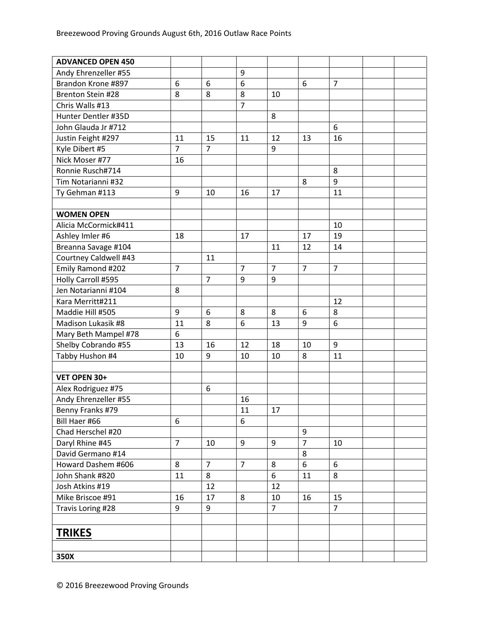| <b>ADVANCED OPEN 450</b> |                |                |                |                |                |                |  |
|--------------------------|----------------|----------------|----------------|----------------|----------------|----------------|--|
| Andy Ehrenzeller #55     |                |                | 9              |                |                |                |  |
| Brandon Krone #897       | 6              | 6              | 6              |                | 6              | $\overline{7}$ |  |
| Brenton Stein #28        | 8              | 8              | 8              | 10             |                |                |  |
| Chris Walls #13          |                |                | $\overline{7}$ |                |                |                |  |
| Hunter Dentler #35D      |                |                |                | 8              |                |                |  |
| John Glauda Jr #712      |                |                |                |                |                | 6              |  |
| Justin Feight #297       | 11             | 15             | 11             | 12             | 13             | 16             |  |
| Kyle Dibert #5           | $\overline{7}$ | $\overline{7}$ |                | 9              |                |                |  |
| Nick Moser #77           | 16             |                |                |                |                |                |  |
| Ronnie Rusch#714         |                |                |                |                |                | 8              |  |
| Tim Notarianni #32       |                |                |                |                | 8              | 9              |  |
| Ty Gehman #113           | 9              | 10             | 16             | 17             |                | 11             |  |
|                          |                |                |                |                |                |                |  |
| <b>WOMEN OPEN</b>        |                |                |                |                |                |                |  |
| Alicia McCormick#411     |                |                |                |                |                | 10             |  |
| Ashley Imler #6          | 18             |                | 17             |                | 17             | 19             |  |
| Breanna Savage #104      |                |                |                | 11             | 12             | 14             |  |
| Courtney Caldwell #43    |                | 11             |                |                |                |                |  |
| Emily Ramond #202        | $\overline{7}$ |                | $\overline{7}$ | $\overline{7}$ | $\overline{7}$ | $\overline{7}$ |  |
| Holly Carroll #595       |                | $\overline{7}$ | 9              | 9              |                |                |  |
| Jen Notarianni #104      | 8              |                |                |                |                |                |  |
| Kara Merritt#211         |                |                |                |                |                | 12             |  |
| Maddie Hill #505         | 9              | 6              | 8              | 8              | 6              | 8              |  |
| Madison Lukasik #8       | 11             | 8              | 6              | 13             | 9              | 6              |  |
| Mary Beth Mampel #78     | 6              |                |                |                |                |                |  |
| Shelby Cobrando #55      | 13             | 16             | 12             | 18             | 10             | 9              |  |
| Tabby Hushon #4          | 10             | 9              | 10             | 10             | 8              | 11             |  |
|                          |                |                |                |                |                |                |  |
| VET OPEN 30+             |                |                |                |                |                |                |  |
| Alex Rodriguez #75       |                | 6              |                |                |                |                |  |
| Andy Ehrenzeller #55     |                |                | 16             |                |                |                |  |
| Benny Franks #79         |                |                | 11             | 17             |                |                |  |
| Bill Haer #66            | 6              |                | 6              |                |                |                |  |
| Chad Herschel #20        |                |                |                |                | 9              |                |  |
| Daryl Rhine #45          | $\overline{7}$ | 10             | 9              | 9              | $\overline{7}$ | 10             |  |
| David Germano #14        |                |                |                |                | 8              |                |  |
| Howard Dashem #606       | 8              | $\overline{7}$ | $\overline{7}$ | 8              | 6              | 6              |  |
| John Shank #820          | 11             | 8              |                | 6              | 11             | 8              |  |
| Josh Atkins #19          |                | 12             |                | 12             |                |                |  |
| Mike Briscoe #91         | 16             | 17             | 8              | 10             | 16             | 15             |  |
| Travis Loring #28        | 9              | 9              |                | $\overline{7}$ |                | $\overline{7}$ |  |
|                          |                |                |                |                |                |                |  |
| <b>TRIKES</b>            |                |                |                |                |                |                |  |
|                          |                |                |                |                |                |                |  |
| 350X                     |                |                |                |                |                |                |  |
|                          |                |                |                |                |                |                |  |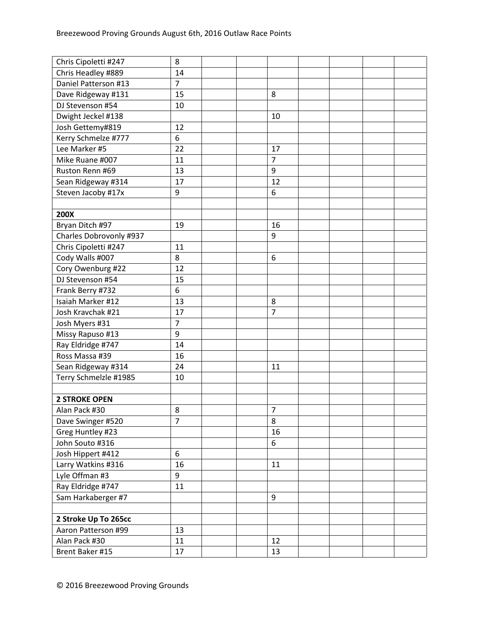| Chris Cipoletti #247    | 8              |  |                |  |  |
|-------------------------|----------------|--|----------------|--|--|
| Chris Headley #889      | 14             |  |                |  |  |
| Daniel Patterson #13    | $\overline{7}$ |  |                |  |  |
| Dave Ridgeway #131      | 15             |  | 8              |  |  |
| DJ Stevenson #54        | 10             |  |                |  |  |
| Dwight Jeckel #138      |                |  | 10             |  |  |
| Josh Gettemy#819        | 12             |  |                |  |  |
| Kerry Schmelze #777     | 6              |  |                |  |  |
| Lee Marker #5           | 22             |  | 17             |  |  |
| Mike Ruane #007         | 11             |  | $\overline{7}$ |  |  |
| Ruston Renn #69         | 13             |  | 9              |  |  |
| Sean Ridgeway #314      | 17             |  | 12             |  |  |
| Steven Jacoby #17x      | 9              |  | 6              |  |  |
|                         |                |  |                |  |  |
| 200X                    |                |  |                |  |  |
| Bryan Ditch #97         | 19             |  | 16             |  |  |
| Charles Dobrovonly #937 |                |  | 9              |  |  |
| Chris Cipoletti #247    | 11             |  |                |  |  |
| Cody Walls #007         | 8              |  | 6              |  |  |
| Cory Owenburg #22       | 12             |  |                |  |  |
| DJ Stevenson #54        | 15             |  |                |  |  |
| Frank Berry #732        | 6              |  |                |  |  |
| Isaiah Marker #12       | 13             |  | 8              |  |  |
| Josh Kravchak #21       | 17             |  | $\overline{7}$ |  |  |
| Josh Myers #31          | $\overline{7}$ |  |                |  |  |
| Missy Rapuso #13        | 9              |  |                |  |  |
| Ray Eldridge #747       | 14             |  |                |  |  |
| Ross Massa #39          | 16             |  |                |  |  |
| Sean Ridgeway #314      | 24             |  | 11             |  |  |
| Terry Schmelzle #1985   | 10             |  |                |  |  |
|                         |                |  |                |  |  |
| <b>2 STROKE OPEN</b>    |                |  |                |  |  |
| Alan Pack #30           | 8              |  | 7              |  |  |
| Dave Swinger #520       | $\overline{7}$ |  | 8              |  |  |
| Greg Huntley #23        |                |  | 16             |  |  |
| John Souto #316         |                |  | 6              |  |  |
| Josh Hippert #412       | 6              |  |                |  |  |
| Larry Watkins #316      | 16             |  | 11             |  |  |
| Lyle Offman #3          | 9              |  |                |  |  |
| Ray Eldridge #747       | 11             |  |                |  |  |
| Sam Harkaberger #7      |                |  | 9              |  |  |
|                         |                |  |                |  |  |
| 2 Stroke Up To 265cc    |                |  |                |  |  |
| Aaron Patterson #99     | 13             |  |                |  |  |
| Alan Pack #30           | 11             |  | 12             |  |  |
| Brent Baker #15         | 17             |  | 13             |  |  |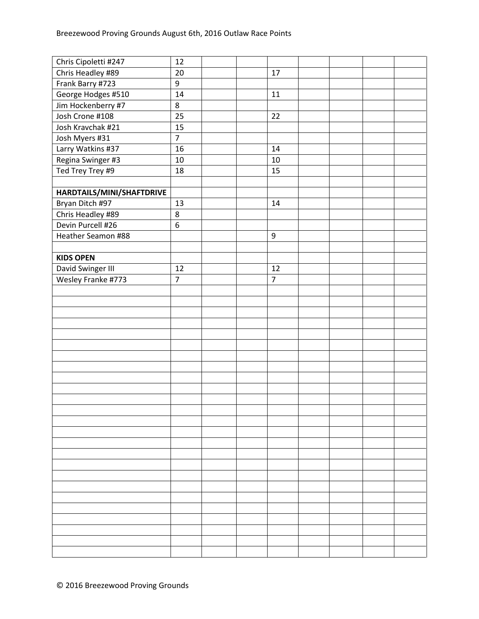| Chris Cipoletti #247      | 12             |  |                  |  |  |
|---------------------------|----------------|--|------------------|--|--|
| Chris Headley #89         | 20             |  | 17               |  |  |
| Frank Barry #723          | 9              |  |                  |  |  |
| George Hodges #510        | 14             |  | $11\,$           |  |  |
| Jim Hockenberry #7        | 8              |  |                  |  |  |
| Josh Crone #108           | 25             |  | 22               |  |  |
| Josh Kravchak #21         | 15             |  |                  |  |  |
| Josh Myers #31            | $\overline{7}$ |  |                  |  |  |
| Larry Watkins #37         | 16             |  | 14               |  |  |
| Regina Swinger #3         | $10\,$         |  | 10               |  |  |
| Ted Trey Trey #9          | 18             |  | 15               |  |  |
|                           |                |  |                  |  |  |
| HARDTAILS/MINI/SHAFTDRIVE |                |  |                  |  |  |
| Bryan Ditch #97           | 13             |  | 14               |  |  |
| Chris Headley #89         | 8              |  |                  |  |  |
| Devin Purcell #26         | 6              |  |                  |  |  |
| Heather Seamon #88        |                |  | $\boldsymbol{9}$ |  |  |
|                           |                |  |                  |  |  |
| <b>KIDS OPEN</b>          |                |  |                  |  |  |
| David Swinger III         | 12             |  | 12               |  |  |
| Wesley Franke #773        | $\overline{7}$ |  | $\overline{7}$   |  |  |
|                           |                |  |                  |  |  |
|                           |                |  |                  |  |  |
|                           |                |  |                  |  |  |
|                           |                |  |                  |  |  |
|                           |                |  |                  |  |  |
|                           |                |  |                  |  |  |
|                           |                |  |                  |  |  |
|                           |                |  |                  |  |  |
|                           |                |  |                  |  |  |
|                           |                |  |                  |  |  |
|                           |                |  |                  |  |  |
|                           |                |  |                  |  |  |
|                           |                |  |                  |  |  |
|                           |                |  |                  |  |  |
|                           |                |  |                  |  |  |
|                           |                |  |                  |  |  |
|                           |                |  |                  |  |  |
|                           |                |  |                  |  |  |
|                           |                |  |                  |  |  |
|                           |                |  |                  |  |  |
|                           |                |  |                  |  |  |
|                           |                |  |                  |  |  |
|                           |                |  |                  |  |  |
|                           |                |  |                  |  |  |
|                           |                |  |                  |  |  |